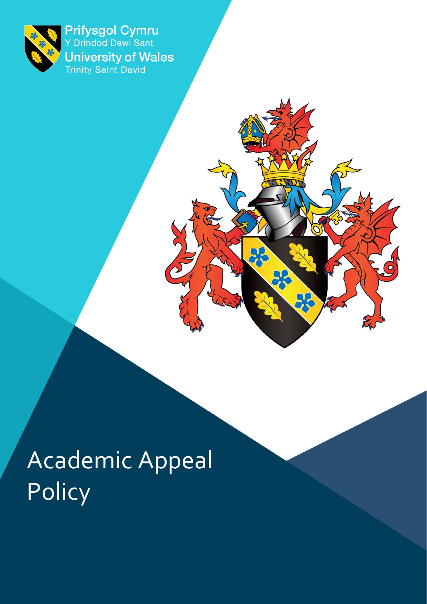

Prifysgol Cymru<br>Y Drindod Dewi Sant **University of Wales**<br>Trinity Saint David

 $Q\lambda$ 

 $\sum_{i}$ 

# Academic Appeal **Policy**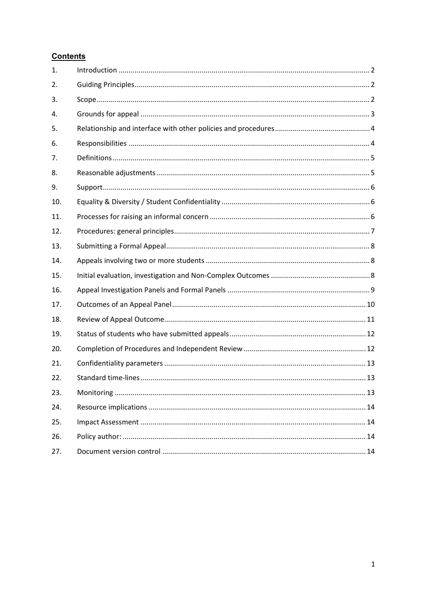#### **Contents**

| 1.  |  |
|-----|--|
| 2.  |  |
| 3.  |  |
| 4.  |  |
| 5.  |  |
| 6.  |  |
| 7.  |  |
| 8.  |  |
| 9.  |  |
| 10. |  |
| 11. |  |
| 12. |  |
| 13. |  |
| 14. |  |
| 15. |  |
| 16. |  |
| 17. |  |
| 18. |  |
| 19. |  |
| 20. |  |
| 21. |  |
| 22. |  |
| 23. |  |
| 24. |  |
| 25. |  |
| 26. |  |
| 27. |  |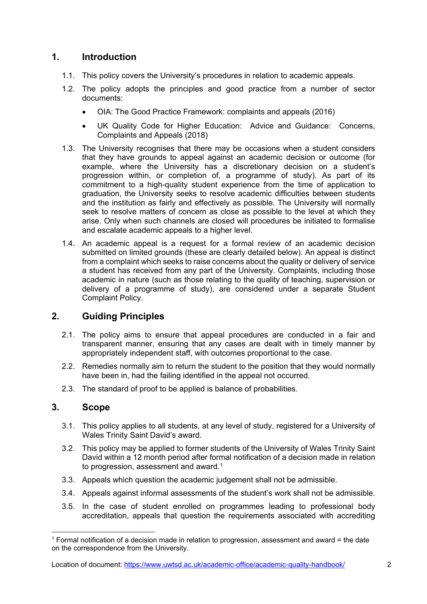## <span id="page-2-0"></span>**1. Introduction**

- 1.1. This policy covers the University's procedures in relation to academic appeals.
- 1.2. The policy adopts the principles and good practice from a number of sector documents:
	- OIA: The Good Practice Framework: complaints and appeals (2016)
	- UK Quality Code for Higher Education: Advice and Guidance: Concerns, Complaints and Appeals (2018)
- 1.3. The University recognises that there may be occasions when a student considers that they have grounds to appeal against an academic decision or outcome (for example, where the University has a discretionary decision on a student's progression within, or completion of, a programme of study). As part of its commitment to a high-quality student experience from the time of application to graduation, the University seeks to resolve academic difficulties between students and the institution as fairly and effectively as possible. The University will normally seek to resolve matters of concern as close as possible to the level at which they arise. Only when such channels are closed will procedures be initiated to formalise and escalate academic appeals to a higher level.
- 1.4. An academic appeal is a request for a formal review of an academic decision submitted on limited grounds (these are clearly detailed below). An appeal is distinct from a complaint which seeks to raise concerns about the quality or delivery of service a student has received from any part of the University. Complaints, including those academic in nature (such as those relating to the quality of teaching, supervision or delivery of a programme of study), are considered under a separate Student Complaint Policy.

## <span id="page-2-1"></span>**2. Guiding Principles**

- 2.1. The policy aims to ensure that appeal procedures are conducted in a fair and transparent manner, ensuring that any cases are dealt with in timely manner by appropriately independent staff, with outcomes proportional to the case.
- 2.2. Remedies normally aim to return the student to the position that they would normally have been in, had the failing identified in the appeal not occurred.
- 2.3. The standard of proof to be applied is balance of probabilities.

#### <span id="page-2-2"></span>**3. Scope**

- 3.1. This policy applies to all students, at any level of study, registered for a University of Wales Trinity Saint David's award.
- 3.2. This policy may be applied to former students of the University of Wales Trinity Saint David within a 12 month period after formal notification of a decision made in relation to progression, assessment and award.<sup>[1](#page-2-3)</sup>
- 3.3. Appeals which question the academic judgement shall not be admissible.
- 3.4. Appeals against informal assessments of the student's work shall not be admissible.
- 3.5. In the case of student enrolled on programmes leading to professional body accreditation, appeals that question the requirements associated with accrediting

Location of document:<https://www.uwtsd.ac.uk/academic-office/academic-quality-handbook/> 2

<span id="page-2-3"></span> $1$  Formal notification of a decision made in relation to progression, assessment and award = the date on the correspondence from the University.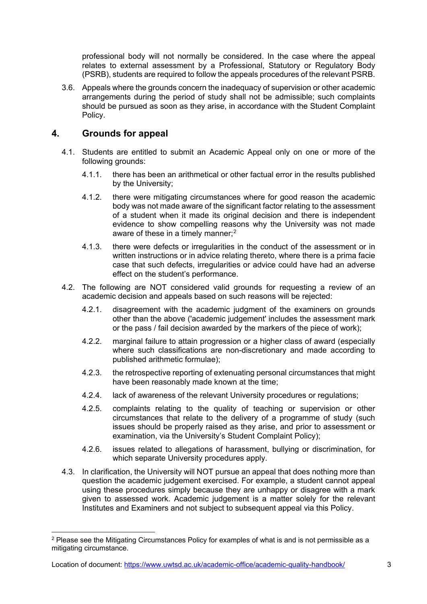professional body will not normally be considered. In the case where the appeal relates to external assessment by a Professional, Statutory or Regulatory Body (PSRB), students are required to follow the appeals procedures of the relevant PSRB.

3.6. Appeals where the grounds concern the inadequacy of supervision or other academic arrangements during the period of study shall not be admissible; such complaints should be pursued as soon as they arise, in accordance with the Student Complaint Policy.

## <span id="page-3-0"></span>**4. Grounds for appeal**

- 4.1. Students are entitled to submit an Academic Appeal only on one or more of the following grounds:
	- 4.1.1. there has been an arithmetical or other factual error in the results published by the University;
	- 4.1.2. there were mitigating circumstances where for good reason the academic body was not made aware of the significant factor relating to the assessment of a student when it made its original decision and there is independent evidence to show compelling reasons why the University was not made aware of these in a timely manner: $2$
	- 4.1.3. there were defects or irregularities in the conduct of the assessment or in written instructions or in advice relating thereto, where there is a prima facie case that such defects, irregularities or advice could have had an adverse effect on the student's performance.
- 4.2. The following are NOT considered valid grounds for requesting a review of an academic decision and appeals based on such reasons will be rejected:
	- 4.2.1. disagreement with the academic judgment of the examiners on grounds other than the above ('academic judgement' includes the assessment mark or the pass / fail decision awarded by the markers of the piece of work);
	- 4.2.2. marginal failure to attain progression or a higher class of award (especially where such classifications are non-discretionary and made according to published arithmetic formulae);
	- 4.2.3. the retrospective reporting of extenuating personal circumstances that might have been reasonably made known at the time;
	- 4.2.4. lack of awareness of the relevant University procedures or regulations;
	- 4.2.5. complaints relating to the quality of teaching or supervision or other circumstances that relate to the delivery of a programme of study (such issues should be properly raised as they arise, and prior to assessment or examination, via the University's Student Complaint Policy);
	- 4.2.6. issues related to allegations of harassment, bullying or discrimination, for which separate University procedures apply.
- 4.3. In clarification, the University will NOT pursue an appeal that does nothing more than question the academic judgement exercised. For example, a student cannot appeal using these procedures simply because they are unhappy or disagree with a mark given to assessed work. Academic judgement is a matter solely for the relevant Institutes and Examiners and not subject to subsequent appeal via this Policy.

<span id="page-3-1"></span> $2$  Please see the Mitigating Circumstances Policy for examples of what is and is not permissible as a mitigating circumstance.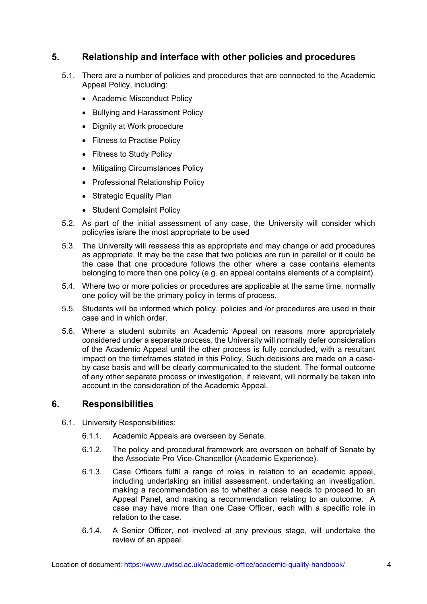## <span id="page-4-0"></span>**5. Relationship and interface with other policies and procedures**

- 5.1. There are a number of policies and procedures that are connected to the Academic Appeal Policy, including:
	- Academic Misconduct Policy
	- Bullying and Harassment Policy
	- Dignity at Work procedure
	- Fitness to Practise Policy
	- Fitness to Study Policy
	- Mitigating Circumstances Policy
	- Professional Relationship Policy
	- Strategic Equality Plan
	- Student Complaint Policy
- 5.2. As part of the initial assessment of any case, the University will consider which policy/ies is/are the most appropriate to be used
- 5.3. The University will reassess this as appropriate and may change or add procedures as appropriate. It may be the case that two policies are run in parallel or it could be the case that one procedure follows the other where a case contains elements belonging to more than one policy (e.g. an appeal contains elements of a complaint).
- 5.4. Where two or more policies or procedures are applicable at the same time, normally one policy will be the primary policy in terms of process.
- 5.5. Students will be informed which policy, policies and /or procedures are used in their case and in which order.
- 5.6. Where a student submits an Academic Appeal on reasons more appropriately considered under a separate process, the University will normally defer consideration of the Academic Appeal until the other process is fully concluded, with a resultant impact on the timeframes stated in this Policy. Such decisions are made on a caseby case basis and will be clearly communicated to the student. The formal outcome of any other separate process or investigation, if relevant, will normally be taken into account in the consideration of the Academic Appeal.

#### <span id="page-4-1"></span>**6. Responsibilities**

- 6.1. University Responsibilities:
	- 6.1.1. Academic Appeals are overseen by Senate.
	- 6.1.2. The policy and procedural framework are overseen on behalf of Senate by the Associate Pro Vice-Chancellor (Academic Experience).
	- 6.1.3. Case Officers fulfil a range of roles in relation to an academic appeal, including undertaking an initial assessment, undertaking an investigation, making a recommendation as to whether a case needs to proceed to an Appeal Panel, and making a recommendation relating to an outcome. A case may have more than one Case Officer, each with a specific role in relation to the case.
	- 6.1.4. A Senior Officer, not involved at any previous stage, will undertake the review of an appeal.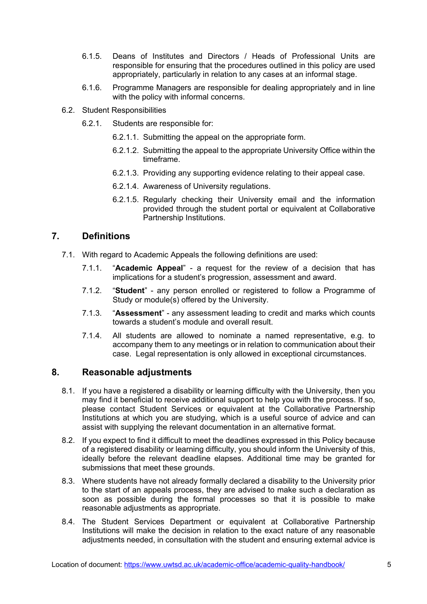- 6.1.5. Deans of Institutes and Directors / Heads of Professional Units are responsible for ensuring that the procedures outlined in this policy are used appropriately, particularly in relation to any cases at an informal stage.
- 6.1.6. Programme Managers are responsible for dealing appropriately and in line with the policy with informal concerns.
- 6.2. Student Responsibilities
	- 6.2.1. Students are responsible for:
		- 6.2.1.1. Submitting the appeal on the appropriate form.
		- 6.2.1.2. Submitting the appeal to the appropriate University Office within the timeframe.
		- 6.2.1.3. Providing any supporting evidence relating to their appeal case.
		- 6.2.1.4. Awareness of University regulations.
		- 6.2.1.5. Regularly checking their University email and the information provided through the student portal or equivalent at Collaborative Partnership Institutions.

#### <span id="page-5-0"></span>**7. Definitions**

- 7.1. With regard to Academic Appeals the following definitions are used:
	- 7.1.1. "**Academic Appeal**" a request for the review of a decision that has implications for a student's progression, assessment and award.
	- 7.1.2. "**Student**" any person enrolled or registered to follow a Programme of Study or module(s) offered by the University.
	- 7.1.3. "**Assessment**" any assessment leading to credit and marks which counts towards a student's module and overall result.
	- 7.1.4. All students are allowed to nominate a named representative, e.g. to accompany them to any meetings or in relation to communication about their case. Legal representation is only allowed in exceptional circumstances.

#### <span id="page-5-1"></span>**8. Reasonable adjustments**

- 8.1. If you have a registered a disability or learning difficulty with the University, then you may find it beneficial to receive additional support to help you with the process. If so, please contact Student Services or equivalent at the Collaborative Partnership Institutions at which you are studying, which is a useful source of advice and can assist with supplying the relevant documentation in an alternative format.
- 8.2. If you expect to find it difficult to meet the deadlines expressed in this Policy because of a registered disability or learning difficulty, you should inform the University of this, ideally before the relevant deadline elapses. Additional time may be granted for submissions that meet these grounds.
- 8.3. Where students have not already formally declared a disability to the University prior to the start of an appeals process, they are advised to make such a declaration as soon as possible during the formal processes so that it is possible to make reasonable adjustments as appropriate.
- 8.4. The Student Services Department or equivalent at Collaborative Partnership Institutions will make the decision in relation to the exact nature of any reasonable adjustments needed, in consultation with the student and ensuring external advice is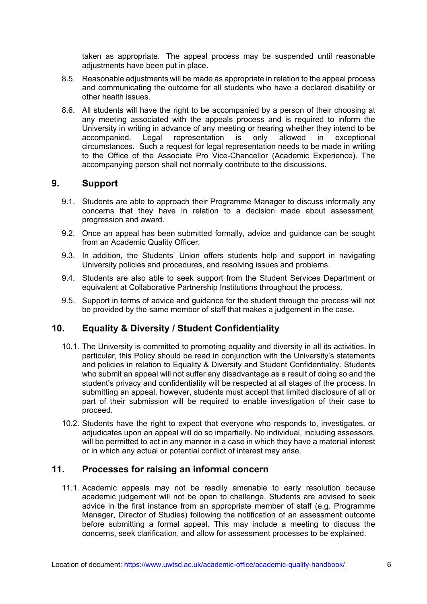taken as appropriate. The appeal process may be suspended until reasonable adjustments have been put in place.

- 8.5. Reasonable adjustments will be made as appropriate in relation to the appeal process and communicating the outcome for all students who have a declared disability or other health issues.
- 8.6. All students will have the right to be accompanied by a person of their choosing at any meeting associated with the appeals process and is required to inform the University in writing in advance of any meeting or hearing whether they intend to be accompanied. Legal representation is only allowed in exceptional circumstances. Such a request for legal representation needs to be made in writing to the Office of the Associate Pro Vice-Chancellor (Academic Experience). The accompanying person shall not normally contribute to the discussions.

#### <span id="page-6-0"></span>**9. Support**

- 9.1. Students are able to approach their Programme Manager to discuss informally any concerns that they have in relation to a decision made about assessment, progression and award.
- 9.2. Once an appeal has been submitted formally, advice and guidance can be sought from an Academic Quality Officer.
- 9.3. In addition, the Students' Union offers students help and support in navigating University policies and procedures, and resolving issues and problems.
- 9.4. Students are also able to seek support from the Student Services Department or equivalent at Collaborative Partnership Institutions throughout the process.
- 9.5. Support in terms of advice and guidance for the student through the process will not be provided by the same member of staff that makes a judgement in the case.

#### <span id="page-6-1"></span>**10. Equality & Diversity / Student Confidentiality**

- 10.1. The University is committed to promoting equality and diversity in all its activities. In particular, this Policy should be read in conjunction with the University's statements and policies in relation to Equality & Diversity and Student Confidentiality. Students who submit an appeal will not suffer any disadvantage as a result of doing so and the student's privacy and confidentiality will be respected at all stages of the process. In submitting an appeal, however, students must accept that limited disclosure of all or part of their submission will be required to enable investigation of their case to proceed.
- 10.2. Students have the right to expect that everyone who responds to, investigates, or adjudicates upon an appeal will do so impartially. No individual, including assessors, will be permitted to act in any manner in a case in which they have a material interest or in which any actual or potential conflict of interest may arise.

#### <span id="page-6-2"></span>**11. Processes for raising an informal concern**

11.1. Academic appeals may not be readily amenable to early resolution because academic judgement will not be open to challenge. Students are advised to seek advice in the first instance from an appropriate member of staff (e.g. Programme Manager, Director of Studies) following the notification of an assessment outcome before submitting a formal appeal. This may include a meeting to discuss the concerns, seek clarification, and allow for assessment processes to be explained.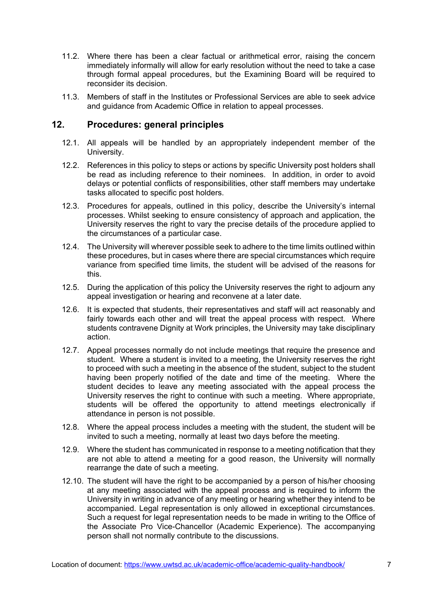- 11.2. Where there has been a clear factual or arithmetical error, raising the concern immediately informally will allow for early resolution without the need to take a case through formal appeal procedures, but the Examining Board will be required to reconsider its decision.
- 11.3. Members of staff in the Institutes or Professional Services are able to seek advice and guidance from Academic Office in relation to appeal processes.

#### <span id="page-7-0"></span>**12. Procedures: general principles**

- 12.1. All appeals will be handled by an appropriately independent member of the University.
- 12.2. References in this policy to steps or actions by specific University post holders shall be read as including reference to their nominees. In addition, in order to avoid delays or potential conflicts of responsibilities, other staff members may undertake tasks allocated to specific post holders.
- 12.3. Procedures for appeals, outlined in this policy, describe the University's internal processes. Whilst seeking to ensure consistency of approach and application, the University reserves the right to vary the precise details of the procedure applied to the circumstances of a particular case.
- 12.4. The University will wherever possible seek to adhere to the time limits outlined within these procedures, but in cases where there are special circumstances which require variance from specified time limits, the student will be advised of the reasons for this.
- 12.5. During the application of this policy the University reserves the right to adjourn any appeal investigation or hearing and reconvene at a later date.
- 12.6. It is expected that students, their representatives and staff will act reasonably and fairly towards each other and will treat the appeal process with respect. Where students contravene Dignity at Work principles, the University may take disciplinary action.
- 12.7. Appeal processes normally do not include meetings that require the presence and student. Where a student is invited to a meeting, the University reserves the right to proceed with such a meeting in the absence of the student, subject to the student having been properly notified of the date and time of the meeting. Where the student decides to leave any meeting associated with the appeal process the University reserves the right to continue with such a meeting. Where appropriate, students will be offered the opportunity to attend meetings electronically if attendance in person is not possible.
- 12.8. Where the appeal process includes a meeting with the student, the student will be invited to such a meeting, normally at least two days before the meeting.
- 12.9. Where the student has communicated in response to a meeting notification that they are not able to attend a meeting for a good reason, the University will normally rearrange the date of such a meeting.
- 12.10. The student will have the right to be accompanied by a person of his/her choosing at any meeting associated with the appeal process and is required to inform the University in writing in advance of any meeting or hearing whether they intend to be accompanied. Legal representation is only allowed in exceptional circumstances. Such a request for legal representation needs to be made in writing to the Office of the Associate Pro Vice-Chancellor (Academic Experience). The accompanying person shall not normally contribute to the discussions.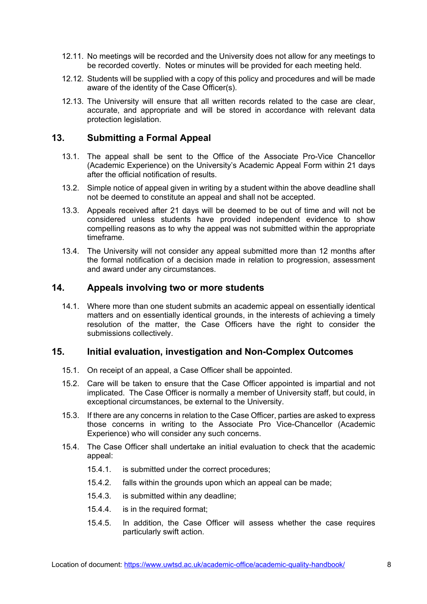- 12.11. No meetings will be recorded and the University does not allow for any meetings to be recorded covertly. Notes or minutes will be provided for each meeting held.
- 12.12. Students will be supplied with a copy of this policy and procedures and will be made aware of the identity of the Case Officer(s).
- 12.13. The University will ensure that all written records related to the case are clear, accurate, and appropriate and will be stored in accordance with relevant data protection legislation.

#### <span id="page-8-0"></span>**13. Submitting a Formal Appeal**

- 13.1. The appeal shall be sent to the Office of the Associate Pro-Vice Chancellor (Academic Experience) on the University's Academic Appeal Form within 21 days after the official notification of results.
- 13.2. Simple notice of appeal given in writing by a student within the above deadline shall not be deemed to constitute an appeal and shall not be accepted.
- 13.3. Appeals received after 21 days will be deemed to be out of time and will not be considered unless students have provided independent evidence to show compelling reasons as to why the appeal was not submitted within the appropriate timeframe.
- 13.4. The University will not consider any appeal submitted more than 12 months after the formal notification of a decision made in relation to progression, assessment and award under any circumstances.

#### <span id="page-8-1"></span>**14. Appeals involving two or more students**

14.1. Where more than one student submits an academic appeal on essentially identical matters and on essentially identical grounds, in the interests of achieving a timely resolution of the matter, the Case Officers have the right to consider the submissions collectively.

#### <span id="page-8-2"></span>**15. Initial evaluation, investigation and Non-Complex Outcomes**

- 15.1. On receipt of an appeal, a Case Officer shall be appointed.
- 15.2. Care will be taken to ensure that the Case Officer appointed is impartial and not implicated. The Case Officer is normally a member of University staff, but could, in exceptional circumstances, be external to the University.
- 15.3. If there are any concerns in relation to the Case Officer, parties are asked to express those concerns in writing to the Associate Pro Vice-Chancellor (Academic Experience) who will consider any such concerns.
- 15.4. The Case Officer shall undertake an initial evaluation to check that the academic appeal:
	- 15.4.1. is submitted under the correct procedures;
	- 15.4.2. falls within the grounds upon which an appeal can be made;
	- 15.4.3. is submitted within any deadline;
	- 15.4.4. is in the required format;
	- 15.4.5. In addition, the Case Officer will assess whether the case requires particularly swift action.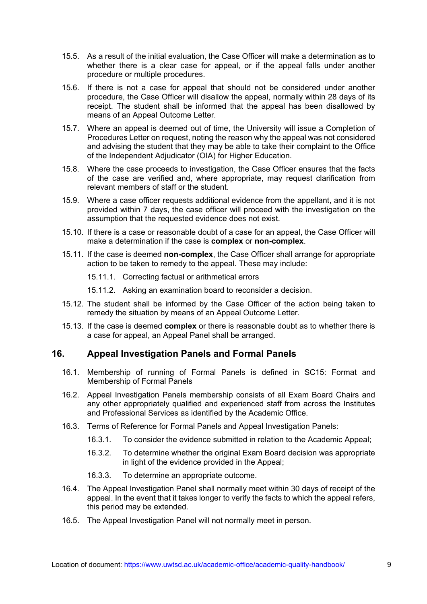- 15.5. As a result of the initial evaluation, the Case Officer will make a determination as to whether there is a clear case for appeal, or if the appeal falls under another procedure or multiple procedures.
- 15.6. If there is not a case for appeal that should not be considered under another procedure, the Case Officer will disallow the appeal, normally within 28 days of its receipt. The student shall be informed that the appeal has been disallowed by means of an Appeal Outcome Letter.
- 15.7. Where an appeal is deemed out of time, the University will issue a Completion of Procedures Letter on request, noting the reason why the appeal was not considered and advising the student that they may be able to take their complaint to the Office of the Independent Adjudicator (OIA) for Higher Education.
- 15.8. Where the case proceeds to investigation, the Case Officer ensures that the facts of the case are verified and, where appropriate, may request clarification from relevant members of staff or the student.
- 15.9. Where a case officer requests additional evidence from the appellant, and it is not provided within 7 days, the case officer will proceed with the investigation on the assumption that the requested evidence does not exist.
- 15.10. If there is a case or reasonable doubt of a case for an appeal, the Case Officer will make a determination if the case is **complex** or **non-complex**.
- 15.11. If the case is deemed **non-complex**, the Case Officer shall arrange for appropriate action to be taken to remedy to the appeal. These may include:
	- 15.11.1. Correcting factual or arithmetical errors
	- 15.11.2. Asking an examination board to reconsider a decision.
- 15.12. The student shall be informed by the Case Officer of the action being taken to remedy the situation by means of an Appeal Outcome Letter.
- 15.13. If the case is deemed **complex** or there is reasonable doubt as to whether there is a case for appeal, an Appeal Panel shall be arranged.

#### <span id="page-9-0"></span>**16. Appeal Investigation Panels and Formal Panels**

- 16.1. Membership of running of Formal Panels is defined in SC15: Format and Membership of Formal Panels
- 16.2. Appeal Investigation Panels membership consists of all Exam Board Chairs and any other appropriately qualified and experienced staff from across the Institutes and Professional Services as identified by the Academic Office.
- 16.3. Terms of Reference for Formal Panels and Appeal Investigation Panels:
	- 16.3.1. To consider the evidence submitted in relation to the Academic Appeal;
	- 16.3.2. To determine whether the original Exam Board decision was appropriate in light of the evidence provided in the Appeal;
	- 16.3.3. To determine an appropriate outcome.
- 16.4. The Appeal Investigation Panel shall normally meet within 30 days of receipt of the appeal. In the event that it takes longer to verify the facts to which the appeal refers, this period may be extended.
- 16.5. The Appeal Investigation Panel will not normally meet in person.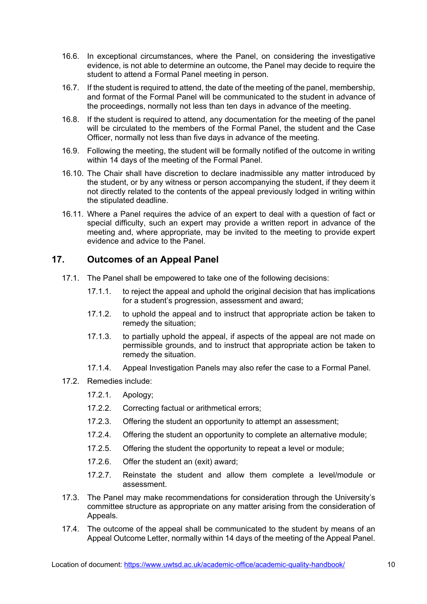- 16.6. In exceptional circumstances, where the Panel, on considering the investigative evidence, is not able to determine an outcome, the Panel may decide to require the student to attend a Formal Panel meeting in person.
- 16.7. If the student is required to attend, the date of the meeting of the panel, membership, and format of the Formal Panel will be communicated to the student in advance of the proceedings, normally not less than ten days in advance of the meeting.
- 16.8. If the student is required to attend, any documentation for the meeting of the panel will be circulated to the members of the Formal Panel, the student and the Case Officer, normally not less than five days in advance of the meeting.
- 16.9. Following the meeting, the student will be formally notified of the outcome in writing within 14 days of the meeting of the Formal Panel.
- 16.10. The Chair shall have discretion to declare inadmissible any matter introduced by the student, or by any witness or person accompanying the student, if they deem it not directly related to the contents of the appeal previously lodged in writing within the stipulated deadline.
- 16.11. Where a Panel requires the advice of an expert to deal with a question of fact or special difficulty, such an expert may provide a written report in advance of the meeting and, where appropriate, may be invited to the meeting to provide expert evidence and advice to the Panel.

#### <span id="page-10-0"></span>**17. Outcomes of an Appeal Panel**

- 17.1. The Panel shall be empowered to take one of the following decisions:
	- 17.1.1. to reject the appeal and uphold the original decision that has implications for a student's progression, assessment and award;
	- 17.1.2. to uphold the appeal and to instruct that appropriate action be taken to remedy the situation;
	- 17.1.3. to partially uphold the appeal, if aspects of the appeal are not made on permissible grounds, and to instruct that appropriate action be taken to remedy the situation.
	- 17.1.4. Appeal Investigation Panels may also refer the case to a Formal Panel.
- 17.2. Remedies include:
	- 17.2.1. Apology;
	- 17.2.2. Correcting factual or arithmetical errors;
	- 17.2.3. Offering the student an opportunity to attempt an assessment;
	- 17.2.4. Offering the student an opportunity to complete an alternative module;
	- 17.2.5. Offering the student the opportunity to repeat a level or module;
	- 17.2.6. Offer the student an (exit) award;
	- 17.2.7. Reinstate the student and allow them complete a level/module or assessment.
- 17.3. The Panel may make recommendations for consideration through the University's committee structure as appropriate on any matter arising from the consideration of Appeals.
- 17.4. The outcome of the appeal shall be communicated to the student by means of an Appeal Outcome Letter, normally within 14 days of the meeting of the Appeal Panel.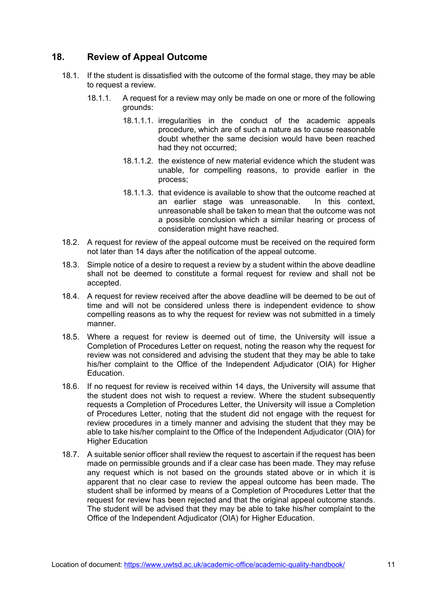#### <span id="page-11-0"></span>**18. Review of Appeal Outcome**

- 18.1. If the student is dissatisfied with the outcome of the formal stage, they may be able to request a review.
	- 18.1.1. A request for a review may only be made on one or more of the following grounds:
		- 18.1.1.1. irregularities in the conduct of the academic appeals procedure, which are of such a nature as to cause reasonable doubt whether the same decision would have been reached had they not occurred;
		- 18.1.1.2. the existence of new material evidence which the student was unable, for compelling reasons, to provide earlier in the process;
		- 18.1.1.3. that evidence is available to show that the outcome reached at an earlier stage was unreasonable. In this context unreasonable shall be taken to mean that the outcome was not a possible conclusion which a similar hearing or process of consideration might have reached.
- 18.2. A request for review of the appeal outcome must be received on the required form not later than 14 days after the notification of the appeal outcome.
- 18.3. Simple notice of a desire to request a review by a student within the above deadline shall not be deemed to constitute a formal request for review and shall not be accepted.
- 18.4. A request for review received after the above deadline will be deemed to be out of time and will not be considered unless there is independent evidence to show compelling reasons as to why the request for review was not submitted in a timely manner.
- 18.5. Where a request for review is deemed out of time, the University will issue a Completion of Procedures Letter on request, noting the reason why the request for review was not considered and advising the student that they may be able to take his/her complaint to the Office of the Independent Adjudicator (OIA) for Higher Education.
- 18.6. If no request for review is received within 14 days, the University will assume that the student does not wish to request a review. Where the student subsequently requests a Completion of Procedures Letter, the University will issue a Completion of Procedures Letter, noting that the student did not engage with the request for review procedures in a timely manner and advising the student that they may be able to take his/her complaint to the Office of the Independent Adjudicator (OIA) for Higher Education
- 18.7. A suitable senior officer shall review the request to ascertain if the request has been made on permissible grounds and if a clear case has been made. They may refuse any request which is not based on the grounds stated above or in which it is apparent that no clear case to review the appeal outcome has been made. The student shall be informed by means of a Completion of Procedures Letter that the request for review has been rejected and that the original appeal outcome stands. The student will be advised that they may be able to take his/her complaint to the Office of the Independent Adjudicator (OIA) for Higher Education.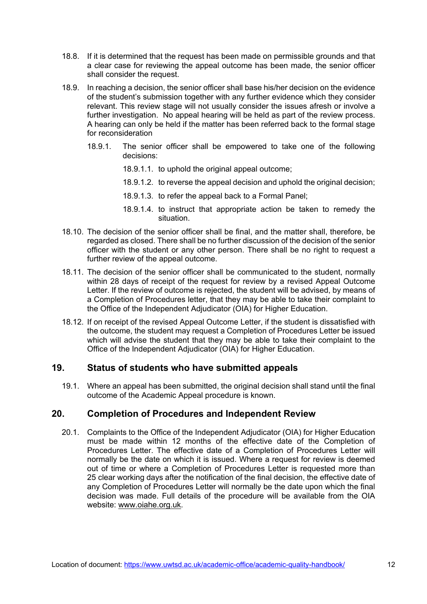- 18.8. If it is determined that the request has been made on permissible grounds and that a clear case for reviewing the appeal outcome has been made, the senior officer shall consider the request.
- 18.9. In reaching a decision, the senior officer shall base his/her decision on the evidence of the student's submission together with any further evidence which they consider relevant. This review stage will not usually consider the issues afresh or involve a further investigation. No appeal hearing will be held as part of the review process. A hearing can only be held if the matter has been referred back to the formal stage for reconsideration
	- 18.9.1. The senior officer shall be empowered to take one of the following decisions:
		- 18.9.1.1. to uphold the original appeal outcome;
		- 18.9.1.2. to reverse the appeal decision and uphold the original decision;
		- 18.9.1.3. to refer the appeal back to a Formal Panel;
		- 18.9.1.4. to instruct that appropriate action be taken to remedy the situation.
- 18.10. The decision of the senior officer shall be final, and the matter shall, therefore, be regarded as closed. There shall be no further discussion of the decision of the senior officer with the student or any other person. There shall be no right to request a further review of the appeal outcome.
- 18.11. The decision of the senior officer shall be communicated to the student, normally within 28 days of receipt of the request for review by a revised Appeal Outcome Letter. If the review of outcome is rejected, the student will be advised, by means of a Completion of Procedures letter, that they may be able to take their complaint to the Office of the Independent Adjudicator (OIA) for Higher Education.
- 18.12. If on receipt of the revised Appeal Outcome Letter, if the student is dissatisfied with the outcome, the student may request a Completion of Procedures Letter be issued which will advise the student that they may be able to take their complaint to the Office of the Independent Adjudicator (OIA) for Higher Education.

#### <span id="page-12-0"></span>**19. Status of students who have submitted appeals**

19.1. Where an appeal has been submitted, the original decision shall stand until the final outcome of the Academic Appeal procedure is known.

#### <span id="page-12-1"></span>**20. Completion of Procedures and Independent Review**

20.1. Complaints to the Office of the Independent Adjudicator (OIA) for Higher Education must be made within 12 months of the effective date of the Completion of Procedures Letter. The effective date of a Completion of Procedures Letter will normally be the date on which it is issued. Where a request for review is deemed out of time or where a Completion of Procedures Letter is requested more than 25 clear working days after the notification of the final decision, the effective date of any Completion of Procedures Letter will normally be the date upon which the final decision was made. Full details of the procedure will be available from the OIA website: [www.oiahe.org.uk](http://www.oiahe.org.uk/).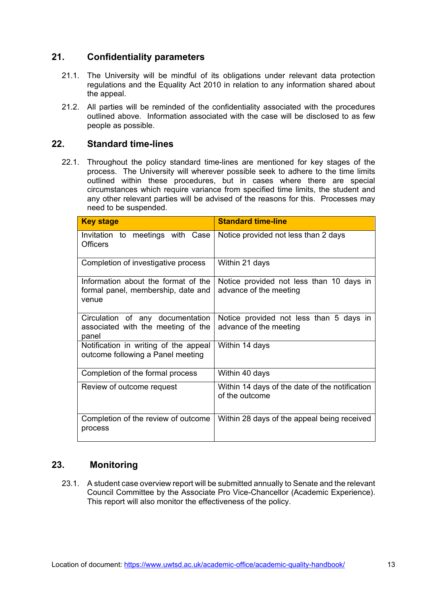## <span id="page-13-0"></span>**21. Confidentiality parameters**

- 21.1. The University will be mindful of its obligations under relevant data protection regulations and the Equality Act 2010 in relation to any information shared about the appeal.
- 21.2. All parties will be reminded of the confidentiality associated with the procedures outlined above. Information associated with the case will be disclosed to as few people as possible.

#### <span id="page-13-1"></span>**22. Standard time-lines**

22.1. Throughout the policy standard time-lines are mentioned for key stages of the process. The University will wherever possible seek to adhere to the time limits outlined within these procedures, but in cases where there are special circumstances which require variance from specified time limits, the student and any other relevant parties will be advised of the reasons for this. Processes may need to be suspended.

| <b>Key stage</b>                                                                   | <b>Standard time-line</b>                                          |  |
|------------------------------------------------------------------------------------|--------------------------------------------------------------------|--|
| Invitation to meetings with Case<br><b>Officers</b>                                | Notice provided not less than 2 days                               |  |
| Completion of investigative process                                                | Within 21 days                                                     |  |
| Information about the format of the<br>formal panel, membership, date and<br>venue | Notice provided not less than 10 days in<br>advance of the meeting |  |
| Circulation of any documentation<br>associated with the meeting of the<br>panel    | Notice provided not less than 5 days in<br>advance of the meeting  |  |
| Notification in writing of the appeal<br>outcome following a Panel meeting         | Within 14 days                                                     |  |
| Completion of the formal process                                                   | Within 40 days                                                     |  |
| Review of outcome request                                                          | Within 14 days of the date of the notification<br>of the outcome   |  |
| Completion of the review of outcome<br>process                                     | Within 28 days of the appeal being received                        |  |

#### **23. Monitoring**

<span id="page-13-2"></span>23.1. A student case overview report will be submitted annually to Senate and the relevant Council Committee by the Associate Pro Vice-Chancellor (Academic Experience). This report will also monitor the effectiveness of the policy.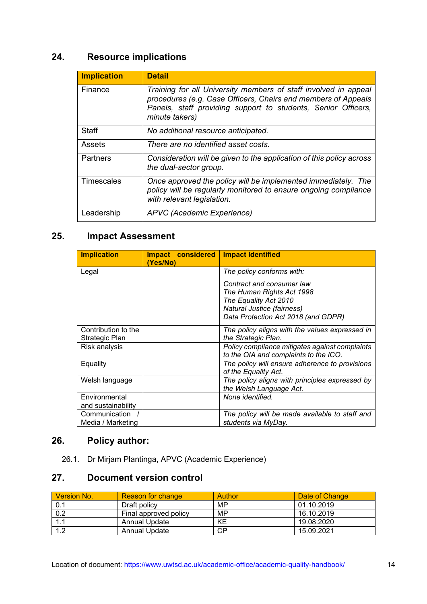# <span id="page-14-0"></span>**24. Resource implications**

| <b>Implication</b> | <b>Detail</b>                                                                                                                                                                                                       |
|--------------------|---------------------------------------------------------------------------------------------------------------------------------------------------------------------------------------------------------------------|
| Finance            | Training for all University members of staff involved in appeal<br>procedures (e.g. Case Officers, Chairs and members of Appeals<br>Panels, staff providing support to students, Senior Officers,<br>minute takers) |
| Staff              | No additional resource anticipated.                                                                                                                                                                                 |
| Assets             | There are no identified asset costs.                                                                                                                                                                                |
| Partners           | Consideration will be given to the application of this policy across<br>the dual-sector group.                                                                                                                      |
| Timescales         | Once approved the policy will be implemented immediately. The<br>policy will be regularly monitored to ensure ongoing compliance<br>with relevant legislation.                                                      |
| Leadership         | APVC (Academic Experience)                                                                                                                                                                                          |

## <span id="page-14-1"></span>**25. Impact Assessment**

| <b>Implication</b>                    | Impact considered<br>(Yes/No) | <b>Impact Identified</b>                                                                                                                             |
|---------------------------------------|-------------------------------|------------------------------------------------------------------------------------------------------------------------------------------------------|
| Legal                                 |                               | The policy conforms with:                                                                                                                            |
|                                       |                               | Contract and consumer law<br>The Human Rights Act 1998<br>The Equality Act 2010<br>Natural Justice (fairness)<br>Data Protection Act 2018 (and GDPR) |
| Contribution to the<br>Strategic Plan |                               | The policy aligns with the values expressed in<br>the Strategic Plan.                                                                                |
| Risk analysis                         |                               | Policy compliance mitigates against complaints<br>to the OIA and complaints to the ICO.                                                              |
| Equality                              |                               | The policy will ensure adherence to provisions<br>of the Equality Act.                                                                               |
| Welsh language                        |                               | The policy aligns with principles expressed by<br>the Welsh Language Act.                                                                            |
| Environmental<br>and sustainability   |                               | None identified.                                                                                                                                     |
| Communication<br>Media / Marketing    |                               | The policy will be made available to staff and<br>students via MyDay.                                                                                |

# <span id="page-14-2"></span>**26. Policy author:**

26.1. Dr Mirjam Plantinga, APVC (Academic Experience)

## <span id="page-14-3"></span>**27. Document version control**

| Version No. | <b>Reason for change</b> | Author | Date of Change |
|-------------|--------------------------|--------|----------------|
| 0.1         | Draft policy             | MP     | 01.10.2019     |
| 0.2         | Final approved policy    | MP     | 16.10.2019     |
|             | <b>Annual Update</b>     | KE     | 19.08.2020     |
| 12          | Annual Update            | СP     | 15.09.2021     |